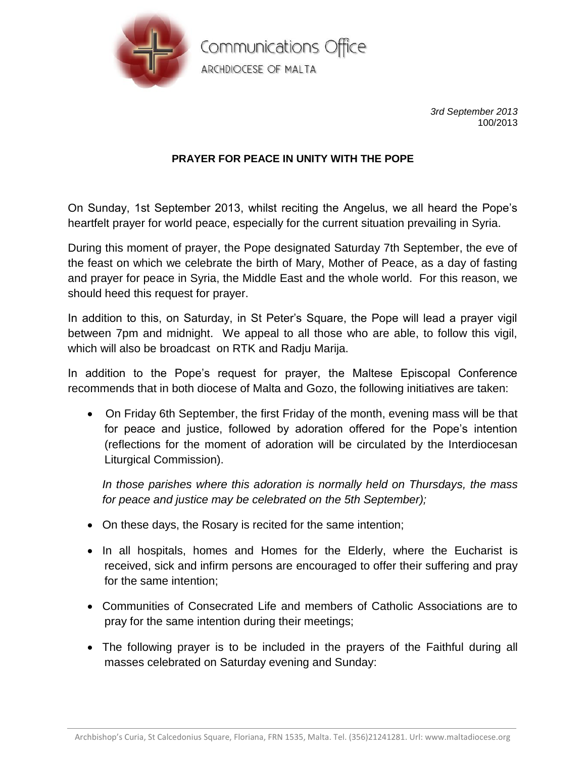

Communications Office ARCHDIOCESE OF MALTA

> *3rd September 2013* 100/2013

## **PRAYER FOR PEACE IN UNITY WITH THE POPE**

On Sunday, 1st September 2013, whilst reciting the Angelus, we all heard the Pope's heartfelt prayer for world peace, especially for the current situation prevailing in Syria.

During this moment of prayer, the Pope designated Saturday 7th September, the eve of the feast on which we celebrate the birth of Mary, Mother of Peace, as a day of fasting and prayer for peace in Syria, the Middle East and the whole world. For this reason, we should heed this request for prayer.

In addition to this, on Saturday, in St Peter's Square, the Pope will lead a prayer vigil between 7pm and midnight. We appeal to all those who are able, to follow this vigil, which will also be broadcast on RTK and Radju Marija.

In addition to the Pope's request for prayer, the Maltese Episcopal Conference recommends that in both diocese of Malta and Gozo, the following initiatives are taken:

 On Friday 6th September, the first Friday of the month, evening mass will be that for peace and justice, followed by adoration offered for the Pope's intention (reflections for the moment of adoration will be circulated by the Interdiocesan Liturgical Commission).

*In those parishes where this adoration is normally held on Thursdays, the mass for peace and justice may be celebrated on the 5th September);* 

- On these days, the Rosary is recited for the same intention;
- In all hospitals, homes and Homes for the Elderly, where the Eucharist is received, sick and infirm persons are encouraged to offer their suffering and pray for the same intention;
- Communities of Consecrated Life and members of Catholic Associations are to pray for the same intention during their meetings;
- The following prayer is to be included in the prayers of the Faithful during all masses celebrated on Saturday evening and Sunday: